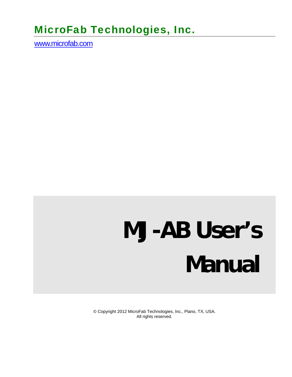# MicroFab Technologies, Inc.

www.microfab.com

# **MJ-AB User's Manual**

© Copyright 2012 MicroFab Technologies, Inc., Plano, TX, USA. All rights reserved.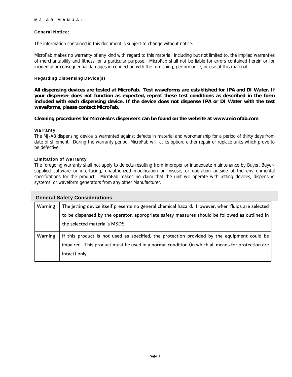#### General Notice:

The information contained in this document is subject to change without notice.

MicroFab makes no warranty of any kind with regard to this material, including but not limited to, the implied warranties of merchantability and fitness for a particular purpose. MicroFab shall not be liable for errors contained herein or for incidental or consequential damages in connection with the furnishing, performance, or use of this material.

#### Regarding Dispensing Device(s)

**All dispensing devices are tested at MicroFab. Test waveforms are established for IPA and DI Water. If your dispenser does not function as expected, repeat these test conditions as described in the form included with each dispensing device. If the device does not dispense IPA or DI Water with the test waveforms, please contact MicroFab.** 

#### **Cleaning procedures for MicroFab's dispensers can be found on the website at www.microfab.com**

#### Warranty

The MJ-AB dispensing device is warranted against defects in material and workmanship for a period of thirty days from date of shipment. During the warranty period, MicroFab will, at its option, either repair or replace units which prove to be defective.

#### Limitation of Warranty

The foregoing warranty shall not apply to defects resulting from improper or inadequate maintenance by Buyer, Buyersupplied software or interfacing, unauthorized modification or misuse, or operation outside of the environmental specifications for the product. MicroFab makes no claim that the unit will operate with jetting devices, dispensing systems, or waveform generators from any other Manufacturer.

| <b>General Safety Considerations</b> |                                                                                                  |  |  |  |
|--------------------------------------|--------------------------------------------------------------------------------------------------|--|--|--|
| Warning                              | The jetting device itself presents no general chemical hazard. However, when fluids are selected |  |  |  |
|                                      | to be dispensed by the operator, appropriate safety measures should be followed as outlined in   |  |  |  |
|                                      | the selected material's MSDS.                                                                    |  |  |  |
| Warning                              | If this product is not used as specified, the protection provided by the equipment could be      |  |  |  |
|                                      | impaired. This product must be used in a normal condition (in which all means for protection are |  |  |  |
|                                      | intact) only.                                                                                    |  |  |  |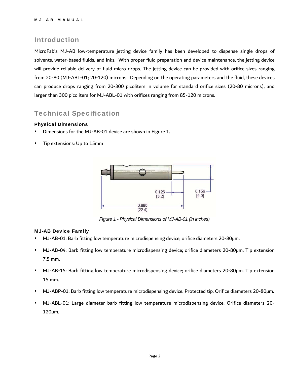### Introduction

MicroFab's MJ-AB low-temperature jetting device family has been developed to dispense single drops of solvents, water-based fluids, and inks. With proper fluid preparation and device maintenance, the jetting device will provide reliable delivery of fluid micro-drops. The jetting device can be provided with orifice sizes ranging from 20-80 (MJ-ABL-01; 20-120) microns. Depending on the operating parameters and the fluid, these devices can produce drops ranging from 20-300 picoliters in volume for standard orifice sizes (20-80 microns), and larger than 300 picoliters for MJ-ABL-01 with orifices ranging from 85-120 microns.

## Technical Specification

#### Physical Dimensions

- Dimensions for the MJ-AB-01 device are shown in Figure 1.
- Tip extensions: Up to 15mm



*Figure 1 - Physical Dimensions of MJ-AB-01 (in inches)* 

#### MJ-AB Device Family

- MJ-AB-01: Barb fitting low temperature microdispensing device; orifice diameters 20-80μm.
- MJ-AB-04: Barb fitting low temperature microdispensing device; orifice diameters 20-80μm. Tip extension 7.5 mm.
- MJ-AB-15: Barb fitting low temperature microdispensing device; orifice diameters 20-80μm. Tip extension 15 mm.
- MJ-ABP-01: Barb fitting low temperature microdispensing device. Protected tip. Orifice diameters 20-80μm.
- MJ-ABL-01: Large diameter barb fitting low temperature microdispensing device. Orifice diameters 20- 120μm.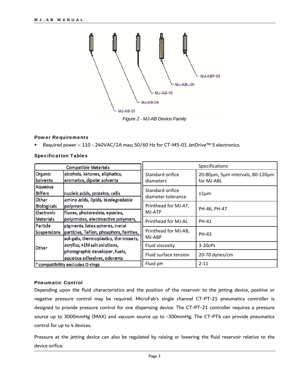

*Figure 2 - MJ-AB Device Family* 

#### Power Requirements

Required power – 110 - 240VAC/2A max; 50/60 Hz for CT-M5-01 JetDrive™ 5 electronics.

| <b>Compatible Materials</b>                 |                                                                      | Specifications                         |                                                |
|---------------------------------------------|----------------------------------------------------------------------|----------------------------------------|------------------------------------------------|
| Organic<br>Solvents                         | alcohols, ketones, aliphatics,<br>aromatics, dipolar solvents        | Standard orifice<br>diameters          | 20-80µm, 5µm intervals, 80-120µm<br>for MJ-ABL |
| Aqueous<br><b>Biffers</b><br>Other          | nucleic acids, proteins, cells<br>amino acids, lipids, biodegradable | Standard orifice<br>diameter tolerance | $±1 \mu m$                                     |
| <b>Biologicals</b>                          | polymers                                                             | Printhead for MJ-AT,                   | PH-46, PH-47                                   |
| Electronic                                  | fluxes, photoresists, epoxies,                                       | MJ-ATP                                 |                                                |
| <b>Materials</b>                            | polyimides, electroactive polymers,                                  | Printhead for MJ-AL                    | <b>PH-41</b>                                   |
| Particle                                    | pigments, latex spheres, metal                                       |                                        |                                                |
| Suspensions                                 | particles, Teflon, phosphors, ferrites,                              | Printhead for MJ-AB,<br>MJ-ABP         | PH-43                                          |
| Other                                       | sol-gels, thermoplastics, thermosets,                                |                                        |                                                |
|                                             | acrylics, >1M salt solutions,                                        | Fluid viscosity                        | $3-20c$ Ps                                     |
|                                             | photographic developer, fuels,<br>aqueous adhesives, odorants        | Fluid surface tension                  | 20-70 dynes/cm                                 |
| <sup>e</sup> compatibility excludes O-rings |                                                                      | Fluid pH                               | $2 - 11$                                       |

#### Specification Tables

#### Pneumatic Control

Depending upon the fluid characteristics and the position of the reservoir to the jetting device, positive or negative pressure control may be required. MicroFab's single channel CT-PT-21 pneumatics controller is designed to provide pressure control for one dispensing device. The CT-PT-21 controller requires a pressure source up to 3000mmHg (MAX) and vacuum source up to -300mmHg. The CT-PT4 can provide pneumatics control for up to 4 devices.

Pressure at the jetting device can also be regulated by raising or lowering the fluid reservoir relative to the device orifice.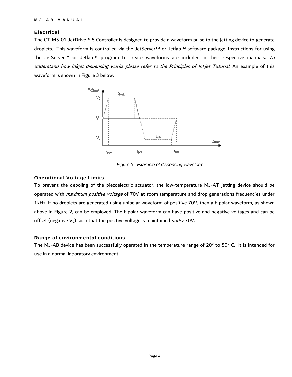#### Electrical

The CT-M5-01 JetDrive™ 5 Controller is designed to provide a waveform pulse to the jetting device to generate droplets. This waveform is controlled via the JetServer™ or Jetlab™ software package. Instructions for using the JetServer™ or Jetlab™ program to create waveforms are included in their respective manuals. To understand how inkjet dispensing works please refer to the Principles of Inkjet Tutorial. An example of this waveform is shown in Figure 3 below.



*Figure 3 - Example of dispensing waveform*

#### Operational Voltage Limits

To prevent the depoling of the piezoelectric actuator, the low-temperature MJ-AT jetting device should be operated with *maximum positive voltage* of 70V at room temperature and drop generations frequencies under 1kHz. If no droplets are generated using unipolar waveform of positive 70V, then a bipolar waveform, as shown above in Figure 2, can be employed. The bipolar waveform can have positive and negative voltages and can be offset (negative  $V_0$ ) such that the positive voltage is maintained *under* 70V.

#### Range of environmental conditions

The MJ-AB device has been successfully operated in the temperature range of 20 $^{\circ}$  to 50 $^{\circ}$  C. It is intended for use in a normal laboratory environment.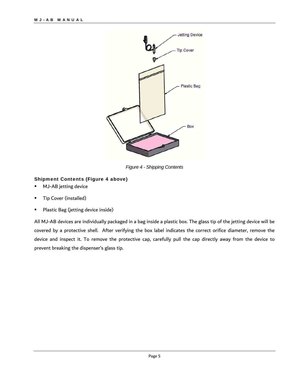

*Figure 4 - Shipping Contents* 

#### Shipment Contents (Figure 4 above)

- **MJ-AB** jetting device
- Tip Cover (installed)
- Plastic Bag (jetting device inside)

All MJ-AB devices are individually packaged in a bag inside a plastic box. The glass tip of the jetting device will be covered by a protective shell. After verifying the box label indicates the correct orifice diameter, remove the device and inspect it. To remove the protective cap, carefully pull the cap directly away from the device to prevent breaking the dispenser's glass tip.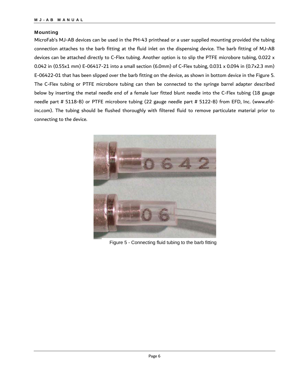#### Mounting

MicroFab's MJ-AB devices can be used in the PH-43 printhead or a user supplied mounting provided the tubing connection attaches to the barb fitting at the fluid inlet on the dispensing device. The barb fitting of MJ-AB devices can be attached directly to C-Flex tubing. Another option is to slip the PTFE microbore tubing, 0.022 x 0.042 in (0.55x1 mm) E-06417-21 into a small section (6.0mm) of C-Flex tubing, 0.031 x 0.094 in (0.7x2.3 mm) E-06422-01 that has been slipped over the barb fitting on the device, as shown in bottom device in the Figure 5. The C-Flex tubing or PTFE microbore tubing can then be connected to the syringe barrel adapter described below by inserting the metal needle end of a female luer fitted blunt needle into the C-Flex tubing (18 gauge needle part # 5118-B) or PTFE microbore tubing (22 gauge needle part # 5122-B) from EFD, Inc. (www.efdinc.com). The tubing should be flushed thoroughly with filtered fluid to remove particulate material prior to connecting to the device.



Figure 5 - Connecting fluid tubing to the barb fitting